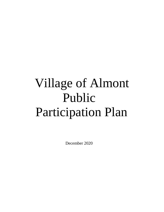# Village of Almont Public Participation Plan

December 2020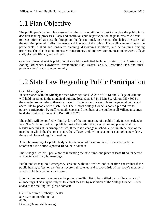### 1.1 Plan Objective

The public participation plan ensures that the Village will do its best to involve the public in its decision-making processes. Early and continuous public participation helps interested citizens to be as informed as possible throughout the decision-making process. This helps to ensure that the resulting plan will reflect the needs and interests of the public. The public can assist as active participants in short and long-term planning, discovering solutions, and determining funding priorities. This plan is a tool to ensure transparency and improve communication between Village staff, elected officials, and citizens.

Common times at which public input should be solicited include updates to the Master Plan, Zoning Ordinance, Downtown Development Plan, Master Parks & Recreation Plan, and other projects significant to the community.

### 1.2 State Law Regarding Public Participation

#### Open Meetings Act

In accordance with the Michigan Open Meetings Act (PA 267 of 1976), the Village of Almont will hold meetings in the municipal building located at 817 N. Main St., Almont MI 48003 in the meeting room unless otherwise posted. This location is accessible to the general public and accessible by people with disabilities. The Almont Village Council adopted procedures to govern participation by staff, councilpersons and members of the public in all Village meetings held electronically pursuant to PA 228 of 2020.

The public will be notified within 10 days of the first meeting of a public body in each calendar year. The Village Clerk will publicly post a list stating the dates, times and places of all its regular meetings at its principle office. If there is a change in schedule, within three days of the meeting in which the change is made, the Village Clerk will post a notice stating the new dates, times and places of regular meetings.

A regular meeting of a public body which is recessed for more than 36 hours can only be reconvened if a notice is posted 18 hours in advance.

The Village Clerk will post a notice indicating the date, time, and place at least 18 hours before all special and irregular meetings.

Public bodies may hold emergency sessions without a written notice or time constraints if the public health, safety, or welfare is severely threatened and if two-thirds of the body's members vote to hold the emergency meeting.

Upon written request, anyone can be put on a mailing list to be notified by mail in advance of all meetings. This may be subject to annual fees set by resolution of the Village Council. To be added to the mailing list, please contact:

Clerk/Treasurer Kimberly Keesler 817 N. Main St Almont, MI 4800[3](mailto:kkeesler@almontvillage.org) [kkeesler@almontvillage.org](mailto:kkeesler@almontvillage.org)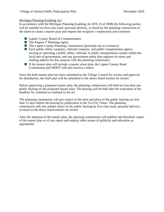#### Michigan Planning Enabling Act

In accordance with the Michigan Planning Enabling Act (PA 33 of 2008) the following parties will be notified via first class mail, personal delivery, or email by the planning commission of the intent to create a master plan and request the recipient's cooperation and comment:

- Lapeer County Board of Commissioners
- $\blacksquare$  The Region V Planning region
- $\blacksquare$  The Lapeer County Planning Commission (presently not in existence)
- Each public utility company, railroad company, and public transportation agency owning or operating a public utility, railroad, or public transportation system within the local unit of government, and any government entity that registers its name and mailing address for this purpose with the planning commission
- If the master plan will include a master street plan, the Lapeer County Road Commission and MDOT will also receive a notice

Once the draft master plan has been submitted to the Village Council for review and approval for distribution, the draft plan will be submitted to the above listed entities for review.

Before approving a proposed master plan, the planning commission will hold not less than one public hearing on the proposed master plan. The hearing will be held after the expiration of the deadline for comment as outlined in the act.

The planning commission will give notice of the time and place of the public hearing not less than 15 days before the hearing by publication in the Tri-City Times. The planning commission will also submit notice of the public hearing by first class mail, personal delivery, or email to the above listed entities for review.

After the adoption of the master plan, the planning commission will publish and distribute copies of the master plan or of any report and employ other means of publicity and education as appropriate.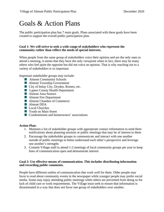### Goals & Action Plans

The public participation plan has 7 main goals. Plans associated with these goals have been created to support the overall public participation plan.

#### **Goal 1: We will strive to seek a wide range of stakeholders who represent the community rather than reflect the needs of special interests.**

When people from the same group of stakeholders voice their opinion and are the only ones to attend a meeting, it seems that they have the only viewpoint when in fact, there may be many others who feel quite the opposite but did not voice an opinion. That is why reaching out to a variety of stakeholders is so important.

Important stakeholder groups may include:

- **Almont Community Schools**
- **Almont Township Government**
- City of Imlay City, Dryden, Romeo, etc.
- **Lapeer County Health Department**
- **Almont Area Seniors**
- **Almont Fire Department**
- **Almont Chamber of Commerce**
- Almont DDA
- **Local Churches**
- **Now Youth on Main Street**
- Condominium and homeowners' associations

#### **Action Plan:**

- 1. Maintain a list of stakeholder groups with appropriate contact information to send them notifications about planning sessions or public meetings that may be of interest to them
- 2. Encourage the stakeholder groups to communicate and interact with one another outside of public meetings to better understand each other's perspective and leverage one another's strengths
- 3. Commit Village staff to attend 1-2 meetings of local community groups per year to keep lines of communication open and demonstrate interest

#### **Goal 2: Use effective means of communication. This includes distributing information and recording public comments.**

People have different outlets of communication that work well for them. Older people may favor to read about community events in the newspaper while younger people may prefer social media. Some may enjoy attending public meetings while others are prevented from doing so for lack of child care or work requirements. The Village must seek to ensure that information is disseminated in a way that does not favor one group of stakeholders over another.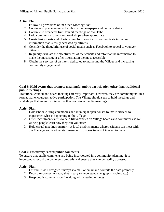#### **Action Plan:**

- 1. Follow all provisions of the Open Meetings Act
- 2. Continue to post meeting schedules in the newspaper and on the website
- 3. Continue to broadcast live Council meetings on YouTube.
- 4. Hold community forums and workshops when appropriate
- 5. Create FAQ sheets and charts or graphs to succinctly communicate important information that is easily accessed by citizens
- 6. Consider the thoughtful use of social media such as Facebook to appeal to younger citizens
- 7. Regularly evaluate the effectiveness of the website and reformat the information to make the most sought-after information the most accessible
- 8. Obtain the services of an intern dedicated to marketing the Village and increasing community engagement

#### **Goal 3: Hold events that promote meaningful public participation other than traditional public meetings.**

Traditional council and board meetings are very important; however, they are commonly not in a format that encourages active participation. The Village should seek to hold meetings and workshops that are more interactive than traditional public meetings.

#### **Action Plan:**

- 1. Hold ribbon cutting ceremonies and municipal open houses to invite citizens to experience what is happening in the Village
- 2. Offer recruitment events to help fill vacancies on Village boards and committees as well as help people learn how they can volunteer
- 3. Hold casual meetings quarterly at local establishments where residents can meet with the Manager and another staff member to discuss issues of interest to them

#### **Goal 4: Effectively record public comments**

To ensure that public comments are being incorporated into community planning, it is important to record the comments properly and ensure they can be readily accessed.

#### **Action Plan:**

- 1. Distribute well designed surveys via mail or email and compile the data promptly
- 2. Record responses in a way that is easy to understand (i.e. graphs, tables, etc.)
- 3. Keep public comments on file along with meeting minutes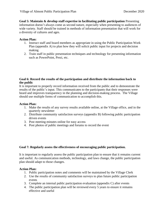**Goal 5: Maintain & develop staff expertise in facilitating public participation** Presenting information doesn't always come as second nature, especially when presenting to audiences of wide variety. Staff should be trained in methods of information presentation that will work for a diversity of cultures and ages.

#### **Action Plan:**

- 1. Instruct staff and board members as appropriate in using the Public Participation Work Plan (appendix A) to plan how they will solicit public input for projects and decision making
- 2. Train staff in public presentation techniques and technology for presenting information such as PowerPoint, Prezi, etc.

#### **Goal 6: Record the results of the participation and distribute the information back to the public**

It is important to properly record information received from the public and to demonstrate the results of the public's input. This communicates to the participants that their responses were heard and improves transparency in the planning and decision-making process. The Village should use multiple forms of communication to accomplish this.

#### **Action Plan:**

- 1. Make the results of any survey results available online, at the Village office, and in the quarterly newsletter
- 2. Distribute community satisfaction surveys (appendix B) following public participation driven events
- 3. Post meeting minutes online for easy access
- 4. Post photos of public meetings and forums to record the event

#### **Goal 7: Regularly assess the effectiveness of encouraging public participation.**

It is important to regularly assess the public participation plan to ensure that it remains current and useful. As communication methods, technology, and laws change, the public participation plan should adapt to those changes.

#### **Action Plan:**

- 1. Public participation notes and comments will be maintained by the Village Clerk
- 2. Use the results of community satisfaction surveys to plan future public participation events
- 3. Complete an internal public participation evaluation (appendix C) after events
- 4. The public participation plan will be reviewed every 5 years to ensure it remains effective and useful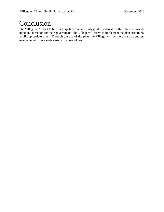### Conclusion

The Village of Almont Public Participation Plan is a daily guide used to allow the public to provide input and direction for their government. The Village will strive to implement the plan effectively at all appropriate times. Through the use of the plan, the Village will be more transparent and receive input from a wide variety of stakeholders.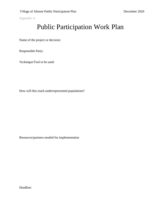Appendix A

### Public Participation Work Plan

Name of the project or decision:

Responsible Party:

Technique/Tool to be used:

How will this reach underrepresented populations?

Resources/partners needed for implementation

Deadline: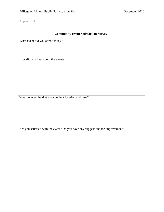Appendix B

| <b>Community Event Satisfaction Survey</b>                                     |
|--------------------------------------------------------------------------------|
| What event did you attend today?                                               |
|                                                                                |
|                                                                                |
| How did you hear about the event?                                              |
|                                                                                |
|                                                                                |
|                                                                                |
|                                                                                |
|                                                                                |
| Was the event held at a convenient location and time?                          |
|                                                                                |
|                                                                                |
|                                                                                |
|                                                                                |
| Are you satisfied with the event? Do you have any suggestions for improvement? |
|                                                                                |
|                                                                                |
|                                                                                |
|                                                                                |
|                                                                                |
|                                                                                |
|                                                                                |
|                                                                                |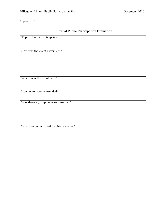Appendix C

| <b>Internal Public Participation Evaluation</b> |
|-------------------------------------------------|
| Type of Public Participation:                   |
|                                                 |
|                                                 |
| How was the event advertised?                   |
|                                                 |
|                                                 |
|                                                 |
|                                                 |
| Where was the event held?                       |
|                                                 |
|                                                 |
| How many people attended?                       |
|                                                 |
| Was there a group underrepresented?             |
|                                                 |
|                                                 |

What can be improved for future events?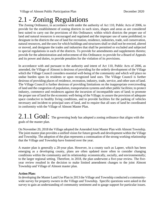### 2.1 - Zoning Regulations

The Zoning Ordinance, in accordance with under the authority of Act 110, Public Acts of 2006, to provide for the establishment of zoning districts in such sizes, shapes and areas as are considered best suited to carry out the provisions of this Ordinance; within which districts the proper use of land and natural resources is encouraged and regulated and the improper use of same prohibited; to designate in the districts the use of land for recreation, residence, industries, trade, soil conservation, natural resources, and the uses for which buildings and structures shall or shall not be erected, altered or moved, and designate the trades and industries that shall be permitted or excluded and subjected to special regulations in each of the districts. To provide for amendments and supplements thereto; provide for the administration and enforcement of this Ordinance; to provide for a Board of Appeals and its power and duties, to provide penalties for the violation of its provisions.

In accordance with and pursuant to the authority and intent of Act 110, Public Acts of 2006, as amended, the Village of Almont is desirous of providing for the orderly development of the Village which the Village Council considers essential well-being of the community and which will place no undue burden upon its residents or upon recognized land uses. The Village Council is further desirous of providing places of residence, recreation, industry, trade, service, and other uses of land. The Village Council is further desirous of providing limitations on the inappropriate overcrowding of land and the congestion of population, transportation systems and other public facilities; to protect industry, commerce and residences against the incursion of incompatible uses of land; to promote the proper use of land for the economic well-being of the Village; to assure the provision of adequate space conducive to healthy living conditions, and to provide facilities for the parking of vehicles necessary and incident to principal uses of land, and to require that all uses of land be coordinated in conformity with the Village of Almont Master Plan.

### $2.1.1$   $Goal:$  The governing body has adopted a zoning ordinance that aligns with the goals of the master plan.

On November 20, 2018 the Village adopted the Amended Joint Master Plan with Almont Township. The joint master plan provides a unified vision for future growth and development within the Village and Township. The adoption of the plan represents a continuation of the strong working relationship that the Village and Township have fostered over the year.

A master plan is generally a 20-year plan. However, in a county such as Lapeer, which has been emerging as a developing county, plans are often updated more often to consider changing conditions within the community and its relationship: economically, socially, and environmentally; to the larger regional setting. Therefore, in 2018, the plan underwent a five-year review. The fiveyear review resulted in the decision to make limited amendment changes to the joint Almont Township and Village of Almont master plan.

#### **Action Plan:**

In developing the Master Land Use Plan in 2013 the Village and Township conducted a communitywide survey for property owners in the Village and Township. Specific questions were asked in the survey to gain an understanding of community sentiment and to gauge support for particular issues.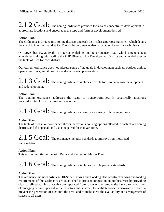$2.1.2$   $Goal:$  The zoning ordinance provides for area of concentrated development in appropriate locations and encourages the type and form of development desired.

#### **Action Plan:**

The Ordinance is divided into zoning districts and each district has a purpose statement which details the specific intent of that district. The zoning ordinance also list a table of uses for each district.

On November 19, 2019 the Village amended its zoning ordinance 193.4 which amended text amendments along with adding the PUD Planned Unit Development District and amended uses in the table of uses for each district.

Our current ordinance does not address some of the goals in development such as: outdoor dining, open store fronts, and it does not address historic preservation.

### $2.1.3$   $Goal:$  The zoning ordinance includes flexible tools to encourage development

and redevelopment.

#### **Action Plan:**

The zoning ordinance addresses the issue of nonconformities. It specifically mentions nonconforming lots, structures and use of land.

## 2.1.4 Goal: The zoning ordinance allows for a variety of housing options.

#### **Action Plan:**

The table of uses in our ordinance shows the various housing options allowed in each of our zoning districts and if a special land use is required for that variation.

2.1.5 Goal: The ordinance includes standards to improve non-motorized

transportation.

#### **Action Plan:**

This action item ties to the joint Parks and Recreation Master Plan.

## $2.1.6$   $Goal:$  The zoning ordinance includes flexible parking standards.

#### **Action Plan:**

The ordinance includes Article 6 Off-Street Parking and Loading. The off-street parking and loading requirements of this Ordinance are established to prevent congestion on public streets by providing clearly defined parking areas that are separated from roadways; to remove the hazard to pedestrians of emerging between parked vehicles onto a public street; to facilitate proper storm-water runoff; to prevent the generation of dust into the area; and to make clear the availability and arrangement of spaces to all users.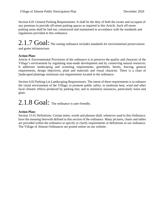Section 6.01 General Parking Requirements: It shall be the duty of both the owner and occupant of any premises to provide off-street parking spaces as required in this Article. Such off-street parking areas shall be laid out, constructed and maintained in accordance with the standards and regulations provided in this ordinance.

### 2.1.7 Goal: The zoning ordinance includes standards for environmental preservations and green infrastructure.

#### **Action Plan:**

Article 4: Environmental Provisions of the ordinance is to preserve the quality and character of the Village's environment by regulating man-made development and by conserving natural resources. It addresses landscaping and screening requirements, greenbelts, berms, fencing, general requirements, design objectives, plant and materials and visual character. There is a chart of landscaped plantings minimum size requirements located in the ordinance.

Section 4.02 Parking Lot Landscaping Requirements. The intent of these requirements is to enhance the visual environment of the Village; to promote public safety, to moderate heat, wind and other local climatic effects produced by parking lots; and to minimize nuisances, particularly noise and glare.

### 2.1.8 Goal: The ordinance is user-friendly.

#### **Action Plan:**

Section 15.01 Definitions. Certain items, words and phrases shall, whenever used in this Ordinance, have the meaning herewith defined in this section of the ordinance. Many pictures, charts and tables are provided within the ordinance to specify or clarify requirements or definitions in our ordinance. The Village of Almont Ordinances are posted online on our website.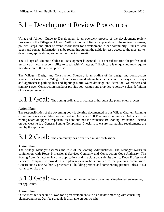### 3.1 – Development Review Procedures

Village of Almont Guide to Development is an overview process of the development review processes in the Village of Almont. Within it you will find an explanation of the review processes, policies, steps, and other relevant information for development in our community. Links to web pages and contact information can be found throughout the guide for easy access to the most up-todate forms, applications, and other pertinent information.

The Village of Almont's Guide to Development is general. It is not substitution for professional guidance or negate responsibility to speak with Village staff. Each case is unique and may require modification of the general processes.

The Village's Design and Construction Standard is an outline of the design and construction standards set inside the Village. These design standards include: streets and roadways; driveways and approaches; parking lots and lighting; storm water drainage and detention; waterlines; and sanitary sewer. Construction standards provide both written and graphics to portray a clear definition of our requirements.

## $3.1.1$   $Goal:$  The zoning ordinance articulates a thorough site plan review process.

#### **Action Plan:**

The responsibilities of the governing body is clearing documented in our Village Charter. Planning commission responsibilities are outlined in Ordinance 180 Planning Commission Ordinance. The zoning board of appeals responsibilities are outlined in Ordinance 190 Zoning Ordinance. Located on our website is a General Zoning Compliance Checklist to ensure that zoning requirements are met by the applicant.

## 3.1.2 Goal: The community has a qualified intake professional.

#### **Action Plan:**

The Village Manager assumes the role of the Zoning Administrator. The Manager works in conjunction with Rowe Professional Services Company and Construction Code Authority. The Zoning Administrator reviews the applications and site plans and submits them to Rowe Professional Services Company to provide a site plan review to be submitted to the planning commission. Construction Code Authority processes all building permits and some zoning permits unless it is a variance or site plan.

## $3.1.3$   $Goal:$  The community defines and offers conceptual site plan review meeting

for applicants.

#### **Action Plan:**

Our current fee schedule allows for a predevelopment site plan review meeting with consulting planner/engineer. Our fee schedule is available on our website.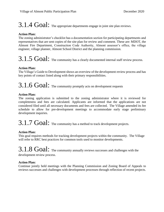## 3.1.4 Goal: The appropriate departments engage in joint site plan reviews.

#### **Action Plan:**

The zoning administrator's checklist has a documentation section for participating departments and representatives that are sent copies of the site plan for review and comment. These are: MDOT, the Almont Fire Department, Construction Code Authority, Almont assessor's office, the village engineer, village planner, Almont School District and the planning commission.

## $3.1.5$   $Goal:$  The community has a clearly documented internal staff review process.

#### **Action Plan:**

The Village's Guide to Development shows an overview of the development review process and has key points of contact listed along with their primary responsibilities.

### 3.1.6 Goal: The community promptly acts on development requests

#### **Action Plan:**

The zoning application is submitted to the zoning administrator where it is reviewed for completeness and fees are calculated. Applicants are informed that the applications are not considered filed until all necessary documents and fees are collected. The Village amended its fee schedule to allow for pre-development meetings to accommodate early stage preliminary development inquiries.

### $3.1.7$   $Goal:$  The community has a method to track development projects.

### **Action Plan:**

This goal requires methods for tracking development projects within the community. The Village will refer to RRC best practices for common tools used to monitor developments.

3.1.8 Goal: The community annually reviews successes and challenges with the development review process.

#### **Action Plan:**

Continue jointly held meetings with the Planning Commission and Zoning Board of Appeals to reviews successes and challenges with development processes through reflection of recent projects.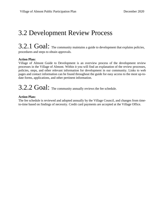### 3.2 Development Review Process

### 3.2.1 Goal: The community maintains a guide to development that explains policies, procedures and steps to obtain approvals.

#### **Action Plan:**

Village of Almont Guide to Development is an overview process of the development review processes in the Village of Almont. Within it you will find an explanation of the review processes, policies, steps, and other relevant information for development in our community. Links to web pages and contact information can be found throughout the guide for easy access to the most up-todate forms, applications, and other pertinent information.

### $3.2.2$   $Goal:$  The community annually reviews the fee schedule.

#### **Action Plan:**

The fee schedule is reviewed and adopted annually by the Village Council, and changes from timeto-time based on findings of necessity. Credit card payments are accepted at the Village Office.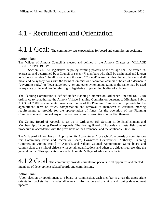### 4.1 - Recruitment and Orientation

### 4.1.1 Goal: The community sets expectations for board and commission positions.

#### **Action Plan:**

The Village of Almont Council is elected and defined in the Almont Charter as: VILLAGE LEGISLATIVE BODY

Section 3.1. All legislative or policy forming powers of the village shall be vested in, exercised, and determined by a Council of seven (7) members who shall be designated and known as "Councilmember." In all cases where the word "Council" is used in this charter, the same shall mean and be synonymous with the terms "Commission" "common council," "board of aldermen.," "governing body," or "legislative body," or any other synonymous term, as the same may be used in any state or Federal law in referring to legislative or governing bodies of villages.

The Planning Commission is defined under Planning Commission Ordinance 180 and 180.1. An ordinance to re-authorize the Almont Village Planning Commission pursuant to Michigan Public Act 33 of 2008; to enumerate powers and duties of the Planning Commission; to provide for the appointment, term of office, compensation and removal of members; to establish meeting requirements; to provide for the appropriation of funds for the operation of the Planning Commission; and to repeal any ordinance provisions or resolutions in conflict therewith.

The Zoning Board of Appeals is set up in Ordinance 193 Section 11:00 Establishment and Membership of Zoning Board of Appeals. The Zoning Board of Appeals shall establish rules of procedure in accordance with the provisions of the Ordinance, and the applicable State law.

The Village of Almont has an "Application for Appointment" for each of the boards or commissions for: Community Parks and Recreation Board, Downtown Development Authority, Planning Commission, Zoning Board of Appeals and Village Council Appointment. Some board and commissions are a mix of citizens with certain qualifications and others are citizens representing the general public. This application is available on the Village of Almont's website.

### $4.1.2\; \rm{Goal}$ : The community provides orientation packets to all appointed and elected members of development related boards and commissions.

#### **Action Plan:**

Upon election or appointment to a board or commission, each member is given the appropriate orientation packets that includes all relevant information and planning and zoning development updates.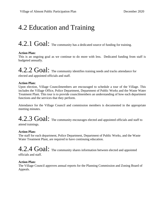### 4.2 Education and Training

### 4.2.1 Goal: The community has a dedicated source of funding for training.

#### **Action Plan:**

This is an ongoing goal as we continue to do more with less. Dedicated funding from staff is budgeted annually.

## 4.2.2 Goal: The community identifies training needs and tracks attendance for

elected and appointed officials and staff.

#### **Action Plan:**

Upon election, Village Councilmembers are encouraged to schedule a tour of the Village. This includes the Village Office, Police Department, Department of Public Works and the Waste Water Treatment Plant. This tour is to provide councilmembers an understanding of how each department functions and the services that they perform.

Attendance for the Village Council and commission members is documented in the appropriate meeting minutes.

### 4.2.3 Goal: The community encourages elected and appointed officials and staff to attend trainings.

#### **Action Plan:**

The staff for each department, Police Department, Department of Public Works, and the Waste Water Treatment Plant, are required to have continuing education.

4.2.4 Goal: The community shares information between elected and appointed officials and staff.

#### **Action Plan:**

The Village Council approves annual reports for the Planning Commission and Zoning Board of Appeals.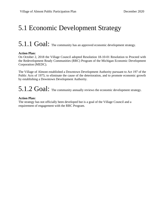### 5.1 Economic Development Strategy

### 5.1.1 Goal: The community has an approved economic development strategy.

#### **Action Plan:**

On October 2, 2018 the Village Council adopted Resolution 18-10-01 Resolution to Proceed with the Redevelopment Ready Communities (RRC) Program of the Michigan Economic Development Corporation (MEDC).

The Village of Almont established a Downtown Development Authority pursuant to Act 197 of the Public Acts of 1975; to eliminate the cause of the deterioration, and to promote economic growth by establishing a Downtown Development Authority.

### $5.1.2$   $Goal:$  The community annually reviews the economic development strategy.

#### **Action Plan:**

The strategy has not officially been developed but is a goal of the Village Council and a requirement of engagement with the RRC Program.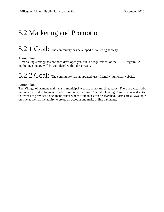### 5.2 Marketing and Promotion

### $5.2.1$   $Goal:$  The community has developed a marketing strategy.

#### **Action Plan:**

A marketing strategy has not been developed yet, but is a requirement of the RRC Program. A marketing strategy will be completed within three years.

 $5.2.2$   $Goal:$  The community has an updated, user-friendly municipal website.

#### **Action Plan:**

The Village of Almont maintains a municipal website almontmichigan.gov. There are clear tabs marking the Redevelopment Ready Community, Village Council, Planning Commission, and ZBA. Our website provides a document center where ordinances can be searched. Forms are all available on-line as well as the ability to create an account and make online payments.